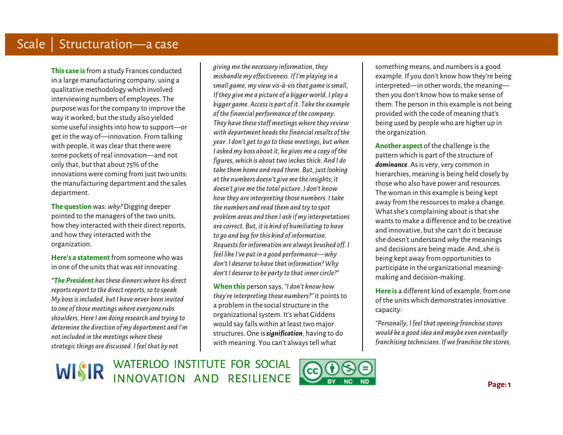**This case is**from a study Frances conducted in a large manufacturing company, using a qualitative methodology which involved interviewing numbers of employees. The purpose was for the company to improve the way it worked; but the study also yielded some useful insights into how to support—or get in the way of—innovation. From talking with people, it was clear that there were some pockets of real innovation—and not only that, but that about 75% of the innovations were coming from just two units: the manufacturing department and the sales department.

**The question** was: *why?* Digging deeper pointed to the managers of the two units, how they interacted with their direct reports, and how they interacted with the organization.

**Here's a statement** from someone who was in one of the units that was *not* innovating.

*"The President has these dinners where his direct reports report to the direct reports, so to speak. My boss is included, but I have never been invited to one of those meetings where everyone rubs shoulders. Here I am doing research and trying to determine the direction of my department and I'm not included in the meetings where these strategic things are discussed. I feel that by not* 

*giving me the necessary information,they mishandle my effectiveness. If I'm playing in a small game, my view vis-à-vis that game is small, If they give me a picture of a bigger world, I play a bigger game. Access is part of it. Take the example of the financial performance of the company. They have these staff meetings where they review with department heads the financial results of the year. I don't get to go to those meetings, but when I asked my boss about it, he gives me a copy of the figures,which is about two inches thick. And I do take them home and read them. But, just looking at the numbers doesn't give me the insights; it doesn't give me the total picture. I don't know how they are interpreting those numbers. I take the numbers and read them and try to spot problem areas and then I ask if my interpretations are correct. But, it is kind of humiliating to have to go and beg for this kind of information. Requests for information are always brushed off. I feel likeI've put in a good performance—why don't I deserve to have that information? Why don't I deserve to be party to that inner circle?"*

**When this** person says, *"I don't know how they're interpreting those numbers?"* it points to a problem in the socialstructure in the organizational system. It's what Giddens would say falls within at least two major structures. One is*signification*, having to do with meaning. You can't always tell what

something means, and numbers is a good example. If you don't know how they're being interpreted—in other words, the meaning then you don't know how to make sense of them. The person in this example is not being provided with the code of meaning that's being used by people who are higher up in the organization.

**Another aspect** of the challenge is the pattern which is part of the structure of *dominance*. As is very, very common in hierarchies, meaning is being held closely by those who also have power and resources. The woman in this example is being kept away from the resources to make a change. What she's complaining about is that she wants to make a difference and to be creative and innovative, but she can't do it because she doesn't understand *why* the meanings and decisions are being made. And, she is being kept away from opportunities to participate in the organizational meaningmaking and decision-making.

**Here is** a different kind of example, from one of the units which demonstrates innovative capacity:

*"Personally, I feel that opening franchise stores would be a good idea and maybe even eventually franchising technicians. If we franchise the stores,*

WISIR WATERLOO INSTITUTE FOR SOCIAL

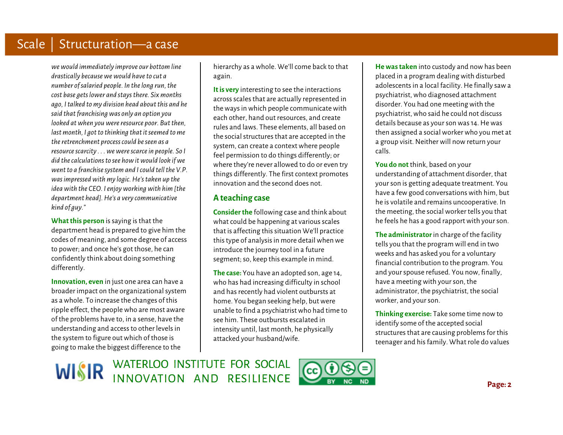*we would immediately improve our bottom line drastically because we would have to cut a number of salaried people. In the long run, the cost base gets lower and stays there. Six months ago, I talked to my division head about this and he said that franchising was only an option you looked at when you were resource poor. But then, last month, I got to thinking that it seemed to me the retrenchment process could be seen as a resource scarcity . . . we were scarce in people. So I did the calculations to see how it would look if we went to a franchise system and I could tell the V.P. was impressed with my logic. He's taken up the idea with the CEO. I enjoy working with him [the department head]. He's a very communicative kind of guy."*

**What this person** is saying is that the department head is prepared to give him the codes of meaning, and some degree of access to power; and once he's got those, he can confidently think about doing something differently.

**Innovation, even** in just one area can have a broader impact on the organizational system as a whole. To increase the changes of this ripple effect, the people who are most aware of the problems have to, in a sense, have the understanding and access to other levels in the system to figure out which of those is going to make the biggest difference to the

hierarchy as a whole. We'll come back to that again.

**It is very** interesting to see the interactions across scales that are actually represented in the ways in which people communicate with each other, hand out resources, and create rules and laws. These elements, all based on the social structures that are accepted in the system, can create a context where people feel permission to do things differently; or where they're never allowed to do or even try things differently. The first context promotes innovation and the second does not.

## **A teaching case**

**Consider the** following case and think about what could be happening at various scales that is affecting this situation We'll practice this type of analysis in more detail when we introduce the journey tool in a future segment; so, keep this example in mind.

**The case:** You have an adopted son, age 14, who has had increasing difficulty in school and has recently had violent outbursts at home. You began seeking help, but were unable to find a psychiatrist who had time to see him. These outbursts escalated in intensity until, last month, he physically attacked your husband/wife.

**He was taken** into custody and now has been placed in a program dealing with disturbed adolescents in a local facility. He finally saw a psychiatrist, who diagnosed attachment disorder. You had one meeting with the psychiatrist, who said he could not discuss details because as your son was 14. He was then assigned a social worker who you met at a group visit. Neither will now return your calls.

**You do not** think, based on your understanding of attachment disorder, that your son is getting adequate treatment. You have a few good conversations with him, but he is volatile and remains uncooperative. In the meeting, the social worker tells you that he feels he has a good rapport with your son.

**The administrator** in charge of the facility tells you that the program will end in two weeks and has asked you for a voluntary financial contribution to the program. You and your spouse refused. You now, finally, have a meeting with your son, the administrator, the psychiatrist, the social worker, and your son.

**Thinking exercise:** Take some time now to identify some of the accepted social structures that are causing problems for this teenager and his family. What role do values

WISIR WATERLOO INSTITUTE FOR SOCIAL